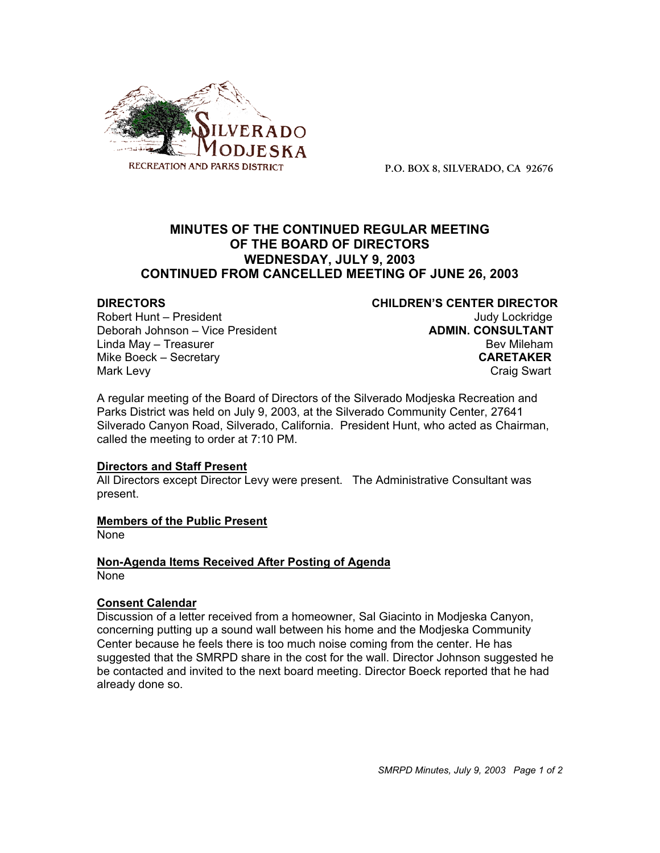

**P.O. BOX 8, SILVERADO, CA 92676**

# **MINUTES OF THE CONTINUED REGULAR MEETING OF THE BOARD OF DIRECTORS WEDNESDAY, JULY 9, 2003 CONTINUED FROM CANCELLED MEETING OF JUNE 26, 2003**

Robert Hunt – President View Controller Controller Controller Controller Judy Lockridge Deborah Johnson – Vice President **ADMIN. CONSULTANT** Linda May – Treasurer Bev Mileham Mike Boeck – Secretary **CARETAKER** Mark Levy **Craig Swart** 

**DIRECTORS CHILDREN'S CENTER DIRECTOR**

A regular meeting of the Board of Directors of the Silverado Modjeska Recreation and Parks District was held on July 9, 2003, at the Silverado Community Center, 27641 Silverado Canyon Road, Silverado, California. President Hunt, who acted as Chairman, called the meeting to order at 7:10 PM.

#### **Directors and Staff Present**

All Directors except Director Levy were present. The Administrative Consultant was present.

## **Members of the Public Present**

None

**Non-Agenda Items Received After Posting of Agenda** None

## **Consent Calendar**

Discussion of a letter received from a homeowner, Sal Giacinto in Modjeska Canyon, concerning putting up a sound wall between his home and the Modjeska Community Center because he feels there is too much noise coming from the center. He has suggested that the SMRPD share in the cost for the wall. Director Johnson suggested he be contacted and invited to the next board meeting. Director Boeck reported that he had already done so.